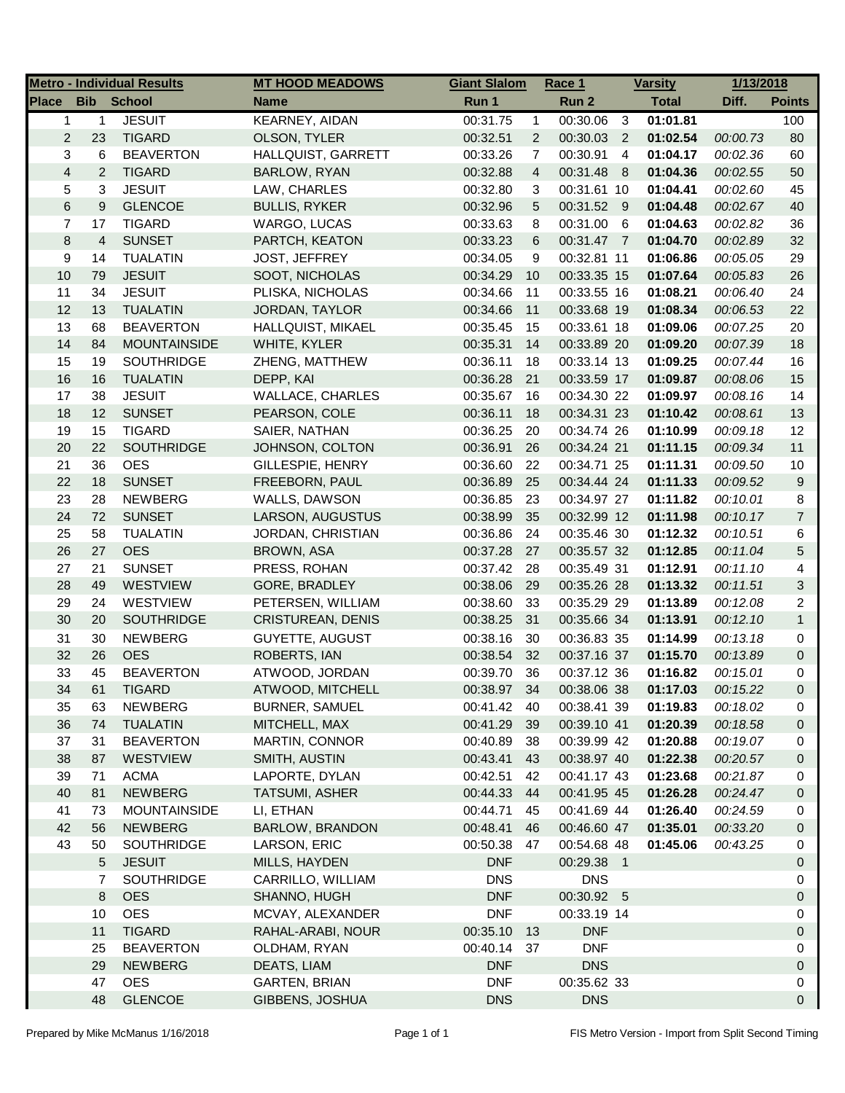| <b>School</b><br><b>Total</b><br><b>Bib</b><br>Run 1<br>Run 2<br>Diff.<br><b>Points</b><br><b>Name</b><br><b>JESUIT</b><br><b>KEARNEY, AIDAN</b><br>$\mathbf{1}$<br>00:31.75<br>00:30.06<br>$\mathbf{3}$<br>01:01.81<br>$\mathbf{1}$<br>$\mathbf{1}$<br>100<br>$\overline{c}$<br>23<br><b>TIGARD</b><br>OLSON, TYLER<br>$\overline{2}$<br>00:30.03<br>01:02.54<br>80<br>00:32.51<br>$\overline{2}$<br>00:00.73<br>3<br>6<br><b>BEAVERTON</b><br>HALLQUIST, GARRETT<br>00:30.91<br>01:04.17<br>60<br>00:33.26<br>$\overline{7}$<br>$\overline{4}$<br>00:02.36<br>$\overline{\mathbf{4}}$<br>$\overline{c}$<br>$\overline{4}$<br>50<br><b>TIGARD</b><br>BARLOW, RYAN<br>00:31.48 8<br>01:04.36<br>00:32.88<br>00:02.55<br>3<br>5<br><b>JESUIT</b><br>LAW, CHARLES<br>00:32.80<br>3<br>00:31.61 10<br>01:04.41<br>45<br>00:02.60<br>6<br>$\boldsymbol{9}$<br><b>GLENCOE</b><br>40<br><b>BULLIS, RYKER</b><br>00:32.96<br>5<br>00:31.52 9<br>01:04.48<br>00:02.67<br>7<br>17<br><b>TIGARD</b><br>8<br>00:31.00<br>$6\overline{6}$<br>01:04.63<br>36<br>WARGO, LUCAS<br>00:33.63<br>00:02.82<br>$\bf 8$<br>4<br><b>SUNSET</b><br>6<br>00:31.47 7<br>01:04.70<br>32<br>PARTCH, KEATON<br>00:33.23<br>00:02.89<br>9<br>14<br><b>TUALATIN</b><br>JOST, JEFFREY<br>00:34.05<br>9<br>00:32.81 11<br>01:06.86<br>29<br>00:05.05<br>10<br>26<br>79<br><b>JESUIT</b><br>SOOT, NICHOLAS<br>00:34.29<br>10<br>00:33.35 15<br>01:07.64<br>00:05.83<br>11<br>34<br><b>JESUIT</b><br>PLISKA, NICHOLAS<br>00:34.66<br>00:33.55 16<br>01:08.21<br>00:06.40<br>24<br>11<br>12<br>13<br>22<br><b>TUALATIN</b><br>JORDAN, TAYLOR<br>00:34.66<br>11<br>00:33.68 19<br>01:08.34<br>00:06.53<br>13<br>68<br><b>BEAVERTON</b><br>HALLQUIST, MIKAEL<br>00:35.45<br>15<br>00:33.61 18<br>01:09.06<br>20<br>00:07.25<br>14<br>84<br><b>MOUNTAINSIDE</b><br>WHITE, KYLER<br>00:35.31<br>14<br>00:33.89 20<br>01:09.20<br>18<br>00:07.39<br>15<br>19<br><b>SOUTHRIDGE</b><br>00:36.11<br>00:33.14 13<br>16<br>ZHENG, MATTHEW<br>18<br>01:09.25<br>00:07.44<br>16<br>16<br>DEPP, KAI<br>15<br><b>TUALATIN</b><br>00:36.28<br>21<br>00:33.59 17<br>01:09.87<br>00:08.06<br>17<br>38<br><b>WALLACE, CHARLES</b><br>14<br><b>JESUIT</b><br>00:35.67<br>00:34.30 22<br>01:09.97<br>16<br>00:08.16<br>18<br>12<br><b>SUNSET</b><br>PEARSON, COLE<br>00:36.11<br>00:34.31 23<br>01:10.42<br>00:08.61<br>13<br>18<br>19<br>15<br>12<br><b>TIGARD</b><br>SAIER, NATHAN<br>00:36.25<br>20<br>00:34.74 26<br>01:10.99<br>00:09.18<br>20<br>22<br>11<br><b>SOUTHRIDGE</b><br>JOHNSON, COLTON<br>00:36.91<br>00:34.24 21<br>01:11.15<br>00:09.34<br>26<br>21<br>36<br><b>OES</b><br>GILLESPIE, HENRY<br>00:36.60<br>22<br>00:34.71 25<br>01:11.31<br>10<br>00:09.50<br>22<br>9<br>18<br><b>SUNSET</b><br>FREEBORN, PAUL<br>25<br>00:34.44 24<br>01:11.33<br>00:36.89<br>00:09.52<br>23<br>8<br>28<br><b>NEWBERG</b><br>WALLS, DAWSON<br>00:36.85<br>23<br>00:34.97 27<br>01:11.82<br>00:10.01<br>24<br>$\overline{7}$<br>72<br><b>SUNSET</b><br>LARSON, AUGUSTUS<br>00:38.99<br>35<br>00:32.99 12<br>01:11.98<br>00:10.17<br>25<br>58<br><b>TUALATIN</b><br>00:36.86<br>24<br>00:35.46 30<br>01:12.32<br>00:10.51<br>6<br>JORDAN, CHRISTIAN<br>26<br>27<br><b>OES</b><br>5<br>00:37.28<br>27<br>00:35.57 32<br>01:12.85<br>BROWN, ASA<br>00:11.04<br>27<br>21<br>4<br><b>SUNSET</b><br>PRESS, ROHAN<br>00:37.42<br>28<br>00:35.49 31<br>01:12.91<br>00:11.10<br>28<br>49<br>$\sqrt{3}$<br><b>WESTVIEW</b><br>GORE, BRADLEY<br>00:38.06<br>29<br>00:35.26 28<br>01:13.32<br>00:11.51<br>29<br>24<br>00:35.29 29<br>01:13.89<br>2<br><b>WESTVIEW</b><br>PETERSEN, WILLIAM<br>00:38.60<br>33<br>00:12.08<br>30<br>$\mathbf{1}$<br>20<br><b>SOUTHRIDGE</b><br>31<br>00:35.66 34<br>01:13.91<br>CRISTUREAN, DENIS<br>00:38.25<br>00:12.10<br>31<br>30<br><b>NEWBERG</b><br><b>GUYETTE, AUGUST</b><br>00:38.16<br>30<br>00:36.83 35<br>01:14.99<br>00:13.18<br>0<br>32<br>26<br><b>OES</b><br><b>ROBERTS, IAN</b><br>00:38.54<br>32<br>00:37.16 37<br>01:15.70<br>0<br>00:13.89<br>33<br>45<br><b>BEAVERTON</b><br>ATWOOD, JORDAN<br>00:39.70<br>36<br>00:37.12 36<br>01:16.82<br>00:15.01<br>0<br>34<br>61<br><b>TIGARD</b><br>ATWOOD, MITCHELL<br>00:38.97<br>34<br>00:38.06 38<br>01:17.03<br>00:15.22<br>$\Omega$<br><b>BURNER, SAMUEL</b><br>00:38.41 39<br>01:19.83<br>35<br><b>NEWBERG</b><br>00:41.42<br>40<br>00:18.02<br>63<br>0<br>36<br>74<br><b>TUALATIN</b><br>MITCHELL, MAX<br>00:41.29<br>39<br>00:39.10 41<br>01:20.39<br>00:18.58<br>0<br>37<br>MARTIN, CONNOR<br>31<br><b>BEAVERTON</b><br>00:40.89<br>38<br>00:39.99 42<br>01:20.88<br>00:19.07<br>0<br>38<br>WESTVIEW<br>SMITH, AUSTIN<br>00:43.41<br>00:38.97 40<br>01:22.38<br>87<br>43<br>00:20.57<br>$\mathbf 0$<br>39<br><b>ACMA</b><br>LAPORTE, DYLAN<br>00:42.51<br>00:41.17 43<br>01:23.68<br>00:21.87<br>71<br>42<br>0<br>40<br>81<br><b>NEWBERG</b><br>TATSUMI, ASHER<br>00:44.33<br>00:41.95 45<br>01:26.28<br>00:24.47<br>44<br>0<br>41<br><b>MOUNTAINSIDE</b><br>LI, ETHAN<br>00:44.71<br>00:41.69 44<br>01:26.40<br>00:24.59<br>73<br>45<br>0<br>42<br><b>NEWBERG</b><br>BARLOW, BRANDON<br>00:48.41<br>00:46.60 47<br>01:35.01<br>00:33.20<br>56<br>0<br>46<br>43<br>01:45.06<br>50<br><b>SOUTHRIDGE</b><br>LARSON, ERIC<br>00:50.38<br>00:54.68 48<br>00:43.25<br>0<br>47<br><b>JESUIT</b><br>MILLS, HAYDEN<br><b>DNF</b><br>00:29.38 1<br>5<br>0<br><b>SOUTHRIDGE</b><br>CARRILLO, WILLIAM<br><b>DNS</b><br><b>DNS</b><br>0<br>7<br>8<br><b>OES</b><br>SHANNO, HUGH<br><b>DNF</b><br>00:30.92 5<br>0<br>10<br><b>OES</b><br>MCVAY, ALEXANDER<br><b>DNF</b><br>00:33.19 14<br>0<br><b>DNF</b><br>11<br><b>TIGARD</b><br>RAHAL-ARABI, NOUR<br>00:35.10<br>13<br>0<br><b>DNF</b><br>25<br><b>BEAVERTON</b><br>OLDHAM, RYAN<br>00:40.14<br>37<br>0<br><b>NEWBERG</b><br><b>DNF</b><br><b>DNS</b><br>29<br>DEATS, LIAM<br>0<br>00:35.62 33<br><b>OES</b><br>GARTEN, BRIAN<br><b>DNF</b><br>47<br>0 |              |    | <b>Metro - Individual Results</b> | <b>MT HOOD MEADOWS</b> | <b>Giant Slalom</b> | Race 1     | <b>Varsity</b> | 1/13/2018 |   |
|----------------------------------------------------------------------------------------------------------------------------------------------------------------------------------------------------------------------------------------------------------------------------------------------------------------------------------------------------------------------------------------------------------------------------------------------------------------------------------------------------------------------------------------------------------------------------------------------------------------------------------------------------------------------------------------------------------------------------------------------------------------------------------------------------------------------------------------------------------------------------------------------------------------------------------------------------------------------------------------------------------------------------------------------------------------------------------------------------------------------------------------------------------------------------------------------------------------------------------------------------------------------------------------------------------------------------------------------------------------------------------------------------------------------------------------------------------------------------------------------------------------------------------------------------------------------------------------------------------------------------------------------------------------------------------------------------------------------------------------------------------------------------------------------------------------------------------------------------------------------------------------------------------------------------------------------------------------------------------------------------------------------------------------------------------------------------------------------------------------------------------------------------------------------------------------------------------------------------------------------------------------------------------------------------------------------------------------------------------------------------------------------------------------------------------------------------------------------------------------------------------------------------------------------------------------------------------------------------------------------------------------------------------------------------------------------------------------------------------------------------------------------------------------------------------------------------------------------------------------------------------------------------------------------------------------------------------------------------------------------------------------------------------------------------------------------------------------------------------------------------------------------------------------------------------------------------------------------------------------------------------------------------------------------------------------------------------------------------------------------------------------------------------------------------------------------------------------------------------------------------------------------------------------------------------------------------------------------------------------------------------------------------------------------------------------------------------------------------------------------------------------------------------------------------------------------------------------------------------------------------------------------------------------------------------------------------------------------------------------------------------------------------------------------------------------------------------------------------------------------------------------------------------------------------------------------------------------------------------------------------------------------------------------------------------------------------------------------------------------------------------------------------------------------------------------------------------------------------------------------------------------------------------------------------------------------------------------------------------------------------------------------------------------------------------------------------------------------------------------------------------------------------------------------------------------------------------------------------------------------------------------------------------------------------------------------------------------------------------------------------------------------------------------------------------------------------------------------------------------------------------------------------------------------------------------------------------------------------------------------------------------------------------------------------------------------------------------------------------------------------------------------------------------------------------------------------------------------------------------------------------------------------------------------------------------------------------------------------------------------------------------------------------------------------------------------------------------------------------------------------------------------------------------------------------------------------------------------------------------------------------------------------------------------------------|--------------|----|-----------------------------------|------------------------|---------------------|------------|----------------|-----------|---|
|                                                                                                                                                                                                                                                                                                                                                                                                                                                                                                                                                                                                                                                                                                                                                                                                                                                                                                                                                                                                                                                                                                                                                                                                                                                                                                                                                                                                                                                                                                                                                                                                                                                                                                                                                                                                                                                                                                                                                                                                                                                                                                                                                                                                                                                                                                                                                                                                                                                                                                                                                                                                                                                                                                                                                                                                                                                                                                                                                                                                                                                                                                                                                                                                                                                                                                                                                                                                                                                                                                                                                                                                                                                                                                                                                                                                                                                                                                                                                                                                                                                                                                                                                                                                                                                                                                                                                                                                                                                                                                                                                                                                                                                                                                                                                                                                                                                                                                                                                                                                                                                                                                                                                                                                                                                                                                                                                                                                                                                                                                                                                                                                                                                                                                                                                                                                                                                                                                                                  | <b>Place</b> |    |                                   |                        |                     |            |                |           |   |
|                                                                                                                                                                                                                                                                                                                                                                                                                                                                                                                                                                                                                                                                                                                                                                                                                                                                                                                                                                                                                                                                                                                                                                                                                                                                                                                                                                                                                                                                                                                                                                                                                                                                                                                                                                                                                                                                                                                                                                                                                                                                                                                                                                                                                                                                                                                                                                                                                                                                                                                                                                                                                                                                                                                                                                                                                                                                                                                                                                                                                                                                                                                                                                                                                                                                                                                                                                                                                                                                                                                                                                                                                                                                                                                                                                                                                                                                                                                                                                                                                                                                                                                                                                                                                                                                                                                                                                                                                                                                                                                                                                                                                                                                                                                                                                                                                                                                                                                                                                                                                                                                                                                                                                                                                                                                                                                                                                                                                                                                                                                                                                                                                                                                                                                                                                                                                                                                                                                                  |              |    |                                   |                        |                     |            |                |           |   |
|                                                                                                                                                                                                                                                                                                                                                                                                                                                                                                                                                                                                                                                                                                                                                                                                                                                                                                                                                                                                                                                                                                                                                                                                                                                                                                                                                                                                                                                                                                                                                                                                                                                                                                                                                                                                                                                                                                                                                                                                                                                                                                                                                                                                                                                                                                                                                                                                                                                                                                                                                                                                                                                                                                                                                                                                                                                                                                                                                                                                                                                                                                                                                                                                                                                                                                                                                                                                                                                                                                                                                                                                                                                                                                                                                                                                                                                                                                                                                                                                                                                                                                                                                                                                                                                                                                                                                                                                                                                                                                                                                                                                                                                                                                                                                                                                                                                                                                                                                                                                                                                                                                                                                                                                                                                                                                                                                                                                                                                                                                                                                                                                                                                                                                                                                                                                                                                                                                                                  |              |    |                                   |                        |                     |            |                |           |   |
|                                                                                                                                                                                                                                                                                                                                                                                                                                                                                                                                                                                                                                                                                                                                                                                                                                                                                                                                                                                                                                                                                                                                                                                                                                                                                                                                                                                                                                                                                                                                                                                                                                                                                                                                                                                                                                                                                                                                                                                                                                                                                                                                                                                                                                                                                                                                                                                                                                                                                                                                                                                                                                                                                                                                                                                                                                                                                                                                                                                                                                                                                                                                                                                                                                                                                                                                                                                                                                                                                                                                                                                                                                                                                                                                                                                                                                                                                                                                                                                                                                                                                                                                                                                                                                                                                                                                                                                                                                                                                                                                                                                                                                                                                                                                                                                                                                                                                                                                                                                                                                                                                                                                                                                                                                                                                                                                                                                                                                                                                                                                                                                                                                                                                                                                                                                                                                                                                                                                  |              |    |                                   |                        |                     |            |                |           |   |
|                                                                                                                                                                                                                                                                                                                                                                                                                                                                                                                                                                                                                                                                                                                                                                                                                                                                                                                                                                                                                                                                                                                                                                                                                                                                                                                                                                                                                                                                                                                                                                                                                                                                                                                                                                                                                                                                                                                                                                                                                                                                                                                                                                                                                                                                                                                                                                                                                                                                                                                                                                                                                                                                                                                                                                                                                                                                                                                                                                                                                                                                                                                                                                                                                                                                                                                                                                                                                                                                                                                                                                                                                                                                                                                                                                                                                                                                                                                                                                                                                                                                                                                                                                                                                                                                                                                                                                                                                                                                                                                                                                                                                                                                                                                                                                                                                                                                                                                                                                                                                                                                                                                                                                                                                                                                                                                                                                                                                                                                                                                                                                                                                                                                                                                                                                                                                                                                                                                                  |              |    |                                   |                        |                     |            |                |           |   |
|                                                                                                                                                                                                                                                                                                                                                                                                                                                                                                                                                                                                                                                                                                                                                                                                                                                                                                                                                                                                                                                                                                                                                                                                                                                                                                                                                                                                                                                                                                                                                                                                                                                                                                                                                                                                                                                                                                                                                                                                                                                                                                                                                                                                                                                                                                                                                                                                                                                                                                                                                                                                                                                                                                                                                                                                                                                                                                                                                                                                                                                                                                                                                                                                                                                                                                                                                                                                                                                                                                                                                                                                                                                                                                                                                                                                                                                                                                                                                                                                                                                                                                                                                                                                                                                                                                                                                                                                                                                                                                                                                                                                                                                                                                                                                                                                                                                                                                                                                                                                                                                                                                                                                                                                                                                                                                                                                                                                                                                                                                                                                                                                                                                                                                                                                                                                                                                                                                                                  |              |    |                                   |                        |                     |            |                |           |   |
|                                                                                                                                                                                                                                                                                                                                                                                                                                                                                                                                                                                                                                                                                                                                                                                                                                                                                                                                                                                                                                                                                                                                                                                                                                                                                                                                                                                                                                                                                                                                                                                                                                                                                                                                                                                                                                                                                                                                                                                                                                                                                                                                                                                                                                                                                                                                                                                                                                                                                                                                                                                                                                                                                                                                                                                                                                                                                                                                                                                                                                                                                                                                                                                                                                                                                                                                                                                                                                                                                                                                                                                                                                                                                                                                                                                                                                                                                                                                                                                                                                                                                                                                                                                                                                                                                                                                                                                                                                                                                                                                                                                                                                                                                                                                                                                                                                                                                                                                                                                                                                                                                                                                                                                                                                                                                                                                                                                                                                                                                                                                                                                                                                                                                                                                                                                                                                                                                                                                  |              |    |                                   |                        |                     |            |                |           |   |
|                                                                                                                                                                                                                                                                                                                                                                                                                                                                                                                                                                                                                                                                                                                                                                                                                                                                                                                                                                                                                                                                                                                                                                                                                                                                                                                                                                                                                                                                                                                                                                                                                                                                                                                                                                                                                                                                                                                                                                                                                                                                                                                                                                                                                                                                                                                                                                                                                                                                                                                                                                                                                                                                                                                                                                                                                                                                                                                                                                                                                                                                                                                                                                                                                                                                                                                                                                                                                                                                                                                                                                                                                                                                                                                                                                                                                                                                                                                                                                                                                                                                                                                                                                                                                                                                                                                                                                                                                                                                                                                                                                                                                                                                                                                                                                                                                                                                                                                                                                                                                                                                                                                                                                                                                                                                                                                                                                                                                                                                                                                                                                                                                                                                                                                                                                                                                                                                                                                                  |              |    |                                   |                        |                     |            |                |           |   |
|                                                                                                                                                                                                                                                                                                                                                                                                                                                                                                                                                                                                                                                                                                                                                                                                                                                                                                                                                                                                                                                                                                                                                                                                                                                                                                                                                                                                                                                                                                                                                                                                                                                                                                                                                                                                                                                                                                                                                                                                                                                                                                                                                                                                                                                                                                                                                                                                                                                                                                                                                                                                                                                                                                                                                                                                                                                                                                                                                                                                                                                                                                                                                                                                                                                                                                                                                                                                                                                                                                                                                                                                                                                                                                                                                                                                                                                                                                                                                                                                                                                                                                                                                                                                                                                                                                                                                                                                                                                                                                                                                                                                                                                                                                                                                                                                                                                                                                                                                                                                                                                                                                                                                                                                                                                                                                                                                                                                                                                                                                                                                                                                                                                                                                                                                                                                                                                                                                                                  |              |    |                                   |                        |                     |            |                |           |   |
|                                                                                                                                                                                                                                                                                                                                                                                                                                                                                                                                                                                                                                                                                                                                                                                                                                                                                                                                                                                                                                                                                                                                                                                                                                                                                                                                                                                                                                                                                                                                                                                                                                                                                                                                                                                                                                                                                                                                                                                                                                                                                                                                                                                                                                                                                                                                                                                                                                                                                                                                                                                                                                                                                                                                                                                                                                                                                                                                                                                                                                                                                                                                                                                                                                                                                                                                                                                                                                                                                                                                                                                                                                                                                                                                                                                                                                                                                                                                                                                                                                                                                                                                                                                                                                                                                                                                                                                                                                                                                                                                                                                                                                                                                                                                                                                                                                                                                                                                                                                                                                                                                                                                                                                                                                                                                                                                                                                                                                                                                                                                                                                                                                                                                                                                                                                                                                                                                                                                  |              |    |                                   |                        |                     |            |                |           |   |
|                                                                                                                                                                                                                                                                                                                                                                                                                                                                                                                                                                                                                                                                                                                                                                                                                                                                                                                                                                                                                                                                                                                                                                                                                                                                                                                                                                                                                                                                                                                                                                                                                                                                                                                                                                                                                                                                                                                                                                                                                                                                                                                                                                                                                                                                                                                                                                                                                                                                                                                                                                                                                                                                                                                                                                                                                                                                                                                                                                                                                                                                                                                                                                                                                                                                                                                                                                                                                                                                                                                                                                                                                                                                                                                                                                                                                                                                                                                                                                                                                                                                                                                                                                                                                                                                                                                                                                                                                                                                                                                                                                                                                                                                                                                                                                                                                                                                                                                                                                                                                                                                                                                                                                                                                                                                                                                                                                                                                                                                                                                                                                                                                                                                                                                                                                                                                                                                                                                                  |              |    |                                   |                        |                     |            |                |           |   |
|                                                                                                                                                                                                                                                                                                                                                                                                                                                                                                                                                                                                                                                                                                                                                                                                                                                                                                                                                                                                                                                                                                                                                                                                                                                                                                                                                                                                                                                                                                                                                                                                                                                                                                                                                                                                                                                                                                                                                                                                                                                                                                                                                                                                                                                                                                                                                                                                                                                                                                                                                                                                                                                                                                                                                                                                                                                                                                                                                                                                                                                                                                                                                                                                                                                                                                                                                                                                                                                                                                                                                                                                                                                                                                                                                                                                                                                                                                                                                                                                                                                                                                                                                                                                                                                                                                                                                                                                                                                                                                                                                                                                                                                                                                                                                                                                                                                                                                                                                                                                                                                                                                                                                                                                                                                                                                                                                                                                                                                                                                                                                                                                                                                                                                                                                                                                                                                                                                                                  |              |    |                                   |                        |                     |            |                |           |   |
|                                                                                                                                                                                                                                                                                                                                                                                                                                                                                                                                                                                                                                                                                                                                                                                                                                                                                                                                                                                                                                                                                                                                                                                                                                                                                                                                                                                                                                                                                                                                                                                                                                                                                                                                                                                                                                                                                                                                                                                                                                                                                                                                                                                                                                                                                                                                                                                                                                                                                                                                                                                                                                                                                                                                                                                                                                                                                                                                                                                                                                                                                                                                                                                                                                                                                                                                                                                                                                                                                                                                                                                                                                                                                                                                                                                                                                                                                                                                                                                                                                                                                                                                                                                                                                                                                                                                                                                                                                                                                                                                                                                                                                                                                                                                                                                                                                                                                                                                                                                                                                                                                                                                                                                                                                                                                                                                                                                                                                                                                                                                                                                                                                                                                                                                                                                                                                                                                                                                  |              |    |                                   |                        |                     |            |                |           |   |
|                                                                                                                                                                                                                                                                                                                                                                                                                                                                                                                                                                                                                                                                                                                                                                                                                                                                                                                                                                                                                                                                                                                                                                                                                                                                                                                                                                                                                                                                                                                                                                                                                                                                                                                                                                                                                                                                                                                                                                                                                                                                                                                                                                                                                                                                                                                                                                                                                                                                                                                                                                                                                                                                                                                                                                                                                                                                                                                                                                                                                                                                                                                                                                                                                                                                                                                                                                                                                                                                                                                                                                                                                                                                                                                                                                                                                                                                                                                                                                                                                                                                                                                                                                                                                                                                                                                                                                                                                                                                                                                                                                                                                                                                                                                                                                                                                                                                                                                                                                                                                                                                                                                                                                                                                                                                                                                                                                                                                                                                                                                                                                                                                                                                                                                                                                                                                                                                                                                                  |              |    |                                   |                        |                     |            |                |           |   |
|                                                                                                                                                                                                                                                                                                                                                                                                                                                                                                                                                                                                                                                                                                                                                                                                                                                                                                                                                                                                                                                                                                                                                                                                                                                                                                                                                                                                                                                                                                                                                                                                                                                                                                                                                                                                                                                                                                                                                                                                                                                                                                                                                                                                                                                                                                                                                                                                                                                                                                                                                                                                                                                                                                                                                                                                                                                                                                                                                                                                                                                                                                                                                                                                                                                                                                                                                                                                                                                                                                                                                                                                                                                                                                                                                                                                                                                                                                                                                                                                                                                                                                                                                                                                                                                                                                                                                                                                                                                                                                                                                                                                                                                                                                                                                                                                                                                                                                                                                                                                                                                                                                                                                                                                                                                                                                                                                                                                                                                                                                                                                                                                                                                                                                                                                                                                                                                                                                                                  |              |    |                                   |                        |                     |            |                |           |   |
|                                                                                                                                                                                                                                                                                                                                                                                                                                                                                                                                                                                                                                                                                                                                                                                                                                                                                                                                                                                                                                                                                                                                                                                                                                                                                                                                                                                                                                                                                                                                                                                                                                                                                                                                                                                                                                                                                                                                                                                                                                                                                                                                                                                                                                                                                                                                                                                                                                                                                                                                                                                                                                                                                                                                                                                                                                                                                                                                                                                                                                                                                                                                                                                                                                                                                                                                                                                                                                                                                                                                                                                                                                                                                                                                                                                                                                                                                                                                                                                                                                                                                                                                                                                                                                                                                                                                                                                                                                                                                                                                                                                                                                                                                                                                                                                                                                                                                                                                                                                                                                                                                                                                                                                                                                                                                                                                                                                                                                                                                                                                                                                                                                                                                                                                                                                                                                                                                                                                  |              |    |                                   |                        |                     |            |                |           |   |
|                                                                                                                                                                                                                                                                                                                                                                                                                                                                                                                                                                                                                                                                                                                                                                                                                                                                                                                                                                                                                                                                                                                                                                                                                                                                                                                                                                                                                                                                                                                                                                                                                                                                                                                                                                                                                                                                                                                                                                                                                                                                                                                                                                                                                                                                                                                                                                                                                                                                                                                                                                                                                                                                                                                                                                                                                                                                                                                                                                                                                                                                                                                                                                                                                                                                                                                                                                                                                                                                                                                                                                                                                                                                                                                                                                                                                                                                                                                                                                                                                                                                                                                                                                                                                                                                                                                                                                                                                                                                                                                                                                                                                                                                                                                                                                                                                                                                                                                                                                                                                                                                                                                                                                                                                                                                                                                                                                                                                                                                                                                                                                                                                                                                                                                                                                                                                                                                                                                                  |              |    |                                   |                        |                     |            |                |           |   |
|                                                                                                                                                                                                                                                                                                                                                                                                                                                                                                                                                                                                                                                                                                                                                                                                                                                                                                                                                                                                                                                                                                                                                                                                                                                                                                                                                                                                                                                                                                                                                                                                                                                                                                                                                                                                                                                                                                                                                                                                                                                                                                                                                                                                                                                                                                                                                                                                                                                                                                                                                                                                                                                                                                                                                                                                                                                                                                                                                                                                                                                                                                                                                                                                                                                                                                                                                                                                                                                                                                                                                                                                                                                                                                                                                                                                                                                                                                                                                                                                                                                                                                                                                                                                                                                                                                                                                                                                                                                                                                                                                                                                                                                                                                                                                                                                                                                                                                                                                                                                                                                                                                                                                                                                                                                                                                                                                                                                                                                                                                                                                                                                                                                                                                                                                                                                                                                                                                                                  |              |    |                                   |                        |                     |            |                |           |   |
|                                                                                                                                                                                                                                                                                                                                                                                                                                                                                                                                                                                                                                                                                                                                                                                                                                                                                                                                                                                                                                                                                                                                                                                                                                                                                                                                                                                                                                                                                                                                                                                                                                                                                                                                                                                                                                                                                                                                                                                                                                                                                                                                                                                                                                                                                                                                                                                                                                                                                                                                                                                                                                                                                                                                                                                                                                                                                                                                                                                                                                                                                                                                                                                                                                                                                                                                                                                                                                                                                                                                                                                                                                                                                                                                                                                                                                                                                                                                                                                                                                                                                                                                                                                                                                                                                                                                                                                                                                                                                                                                                                                                                                                                                                                                                                                                                                                                                                                                                                                                                                                                                                                                                                                                                                                                                                                                                                                                                                                                                                                                                                                                                                                                                                                                                                                                                                                                                                                                  |              |    |                                   |                        |                     |            |                |           |   |
|                                                                                                                                                                                                                                                                                                                                                                                                                                                                                                                                                                                                                                                                                                                                                                                                                                                                                                                                                                                                                                                                                                                                                                                                                                                                                                                                                                                                                                                                                                                                                                                                                                                                                                                                                                                                                                                                                                                                                                                                                                                                                                                                                                                                                                                                                                                                                                                                                                                                                                                                                                                                                                                                                                                                                                                                                                                                                                                                                                                                                                                                                                                                                                                                                                                                                                                                                                                                                                                                                                                                                                                                                                                                                                                                                                                                                                                                                                                                                                                                                                                                                                                                                                                                                                                                                                                                                                                                                                                                                                                                                                                                                                                                                                                                                                                                                                                                                                                                                                                                                                                                                                                                                                                                                                                                                                                                                                                                                                                                                                                                                                                                                                                                                                                                                                                                                                                                                                                                  |              |    |                                   |                        |                     |            |                |           |   |
|                                                                                                                                                                                                                                                                                                                                                                                                                                                                                                                                                                                                                                                                                                                                                                                                                                                                                                                                                                                                                                                                                                                                                                                                                                                                                                                                                                                                                                                                                                                                                                                                                                                                                                                                                                                                                                                                                                                                                                                                                                                                                                                                                                                                                                                                                                                                                                                                                                                                                                                                                                                                                                                                                                                                                                                                                                                                                                                                                                                                                                                                                                                                                                                                                                                                                                                                                                                                                                                                                                                                                                                                                                                                                                                                                                                                                                                                                                                                                                                                                                                                                                                                                                                                                                                                                                                                                                                                                                                                                                                                                                                                                                                                                                                                                                                                                                                                                                                                                                                                                                                                                                                                                                                                                                                                                                                                                                                                                                                                                                                                                                                                                                                                                                                                                                                                                                                                                                                                  |              |    |                                   |                        |                     |            |                |           |   |
|                                                                                                                                                                                                                                                                                                                                                                                                                                                                                                                                                                                                                                                                                                                                                                                                                                                                                                                                                                                                                                                                                                                                                                                                                                                                                                                                                                                                                                                                                                                                                                                                                                                                                                                                                                                                                                                                                                                                                                                                                                                                                                                                                                                                                                                                                                                                                                                                                                                                                                                                                                                                                                                                                                                                                                                                                                                                                                                                                                                                                                                                                                                                                                                                                                                                                                                                                                                                                                                                                                                                                                                                                                                                                                                                                                                                                                                                                                                                                                                                                                                                                                                                                                                                                                                                                                                                                                                                                                                                                                                                                                                                                                                                                                                                                                                                                                                                                                                                                                                                                                                                                                                                                                                                                                                                                                                                                                                                                                                                                                                                                                                                                                                                                                                                                                                                                                                                                                                                  |              |    |                                   |                        |                     |            |                |           |   |
|                                                                                                                                                                                                                                                                                                                                                                                                                                                                                                                                                                                                                                                                                                                                                                                                                                                                                                                                                                                                                                                                                                                                                                                                                                                                                                                                                                                                                                                                                                                                                                                                                                                                                                                                                                                                                                                                                                                                                                                                                                                                                                                                                                                                                                                                                                                                                                                                                                                                                                                                                                                                                                                                                                                                                                                                                                                                                                                                                                                                                                                                                                                                                                                                                                                                                                                                                                                                                                                                                                                                                                                                                                                                                                                                                                                                                                                                                                                                                                                                                                                                                                                                                                                                                                                                                                                                                                                                                                                                                                                                                                                                                                                                                                                                                                                                                                                                                                                                                                                                                                                                                                                                                                                                                                                                                                                                                                                                                                                                                                                                                                                                                                                                                                                                                                                                                                                                                                                                  |              |    |                                   |                        |                     |            |                |           |   |
|                                                                                                                                                                                                                                                                                                                                                                                                                                                                                                                                                                                                                                                                                                                                                                                                                                                                                                                                                                                                                                                                                                                                                                                                                                                                                                                                                                                                                                                                                                                                                                                                                                                                                                                                                                                                                                                                                                                                                                                                                                                                                                                                                                                                                                                                                                                                                                                                                                                                                                                                                                                                                                                                                                                                                                                                                                                                                                                                                                                                                                                                                                                                                                                                                                                                                                                                                                                                                                                                                                                                                                                                                                                                                                                                                                                                                                                                                                                                                                                                                                                                                                                                                                                                                                                                                                                                                                                                                                                                                                                                                                                                                                                                                                                                                                                                                                                                                                                                                                                                                                                                                                                                                                                                                                                                                                                                                                                                                                                                                                                                                                                                                                                                                                                                                                                                                                                                                                                                  |              |    |                                   |                        |                     |            |                |           |   |
|                                                                                                                                                                                                                                                                                                                                                                                                                                                                                                                                                                                                                                                                                                                                                                                                                                                                                                                                                                                                                                                                                                                                                                                                                                                                                                                                                                                                                                                                                                                                                                                                                                                                                                                                                                                                                                                                                                                                                                                                                                                                                                                                                                                                                                                                                                                                                                                                                                                                                                                                                                                                                                                                                                                                                                                                                                                                                                                                                                                                                                                                                                                                                                                                                                                                                                                                                                                                                                                                                                                                                                                                                                                                                                                                                                                                                                                                                                                                                                                                                                                                                                                                                                                                                                                                                                                                                                                                                                                                                                                                                                                                                                                                                                                                                                                                                                                                                                                                                                                                                                                                                                                                                                                                                                                                                                                                                                                                                                                                                                                                                                                                                                                                                                                                                                                                                                                                                                                                  |              |    |                                   |                        |                     |            |                |           |   |
|                                                                                                                                                                                                                                                                                                                                                                                                                                                                                                                                                                                                                                                                                                                                                                                                                                                                                                                                                                                                                                                                                                                                                                                                                                                                                                                                                                                                                                                                                                                                                                                                                                                                                                                                                                                                                                                                                                                                                                                                                                                                                                                                                                                                                                                                                                                                                                                                                                                                                                                                                                                                                                                                                                                                                                                                                                                                                                                                                                                                                                                                                                                                                                                                                                                                                                                                                                                                                                                                                                                                                                                                                                                                                                                                                                                                                                                                                                                                                                                                                                                                                                                                                                                                                                                                                                                                                                                                                                                                                                                                                                                                                                                                                                                                                                                                                                                                                                                                                                                                                                                                                                                                                                                                                                                                                                                                                                                                                                                                                                                                                                                                                                                                                                                                                                                                                                                                                                                                  |              |    |                                   |                        |                     |            |                |           |   |
|                                                                                                                                                                                                                                                                                                                                                                                                                                                                                                                                                                                                                                                                                                                                                                                                                                                                                                                                                                                                                                                                                                                                                                                                                                                                                                                                                                                                                                                                                                                                                                                                                                                                                                                                                                                                                                                                                                                                                                                                                                                                                                                                                                                                                                                                                                                                                                                                                                                                                                                                                                                                                                                                                                                                                                                                                                                                                                                                                                                                                                                                                                                                                                                                                                                                                                                                                                                                                                                                                                                                                                                                                                                                                                                                                                                                                                                                                                                                                                                                                                                                                                                                                                                                                                                                                                                                                                                                                                                                                                                                                                                                                                                                                                                                                                                                                                                                                                                                                                                                                                                                                                                                                                                                                                                                                                                                                                                                                                                                                                                                                                                                                                                                                                                                                                                                                                                                                                                                  |              |    |                                   |                        |                     |            |                |           |   |
|                                                                                                                                                                                                                                                                                                                                                                                                                                                                                                                                                                                                                                                                                                                                                                                                                                                                                                                                                                                                                                                                                                                                                                                                                                                                                                                                                                                                                                                                                                                                                                                                                                                                                                                                                                                                                                                                                                                                                                                                                                                                                                                                                                                                                                                                                                                                                                                                                                                                                                                                                                                                                                                                                                                                                                                                                                                                                                                                                                                                                                                                                                                                                                                                                                                                                                                                                                                                                                                                                                                                                                                                                                                                                                                                                                                                                                                                                                                                                                                                                                                                                                                                                                                                                                                                                                                                                                                                                                                                                                                                                                                                                                                                                                                                                                                                                                                                                                                                                                                                                                                                                                                                                                                                                                                                                                                                                                                                                                                                                                                                                                                                                                                                                                                                                                                                                                                                                                                                  |              |    |                                   |                        |                     |            |                |           |   |
|                                                                                                                                                                                                                                                                                                                                                                                                                                                                                                                                                                                                                                                                                                                                                                                                                                                                                                                                                                                                                                                                                                                                                                                                                                                                                                                                                                                                                                                                                                                                                                                                                                                                                                                                                                                                                                                                                                                                                                                                                                                                                                                                                                                                                                                                                                                                                                                                                                                                                                                                                                                                                                                                                                                                                                                                                                                                                                                                                                                                                                                                                                                                                                                                                                                                                                                                                                                                                                                                                                                                                                                                                                                                                                                                                                                                                                                                                                                                                                                                                                                                                                                                                                                                                                                                                                                                                                                                                                                                                                                                                                                                                                                                                                                                                                                                                                                                                                                                                                                                                                                                                                                                                                                                                                                                                                                                                                                                                                                                                                                                                                                                                                                                                                                                                                                                                                                                                                                                  |              |    |                                   |                        |                     |            |                |           |   |
|                                                                                                                                                                                                                                                                                                                                                                                                                                                                                                                                                                                                                                                                                                                                                                                                                                                                                                                                                                                                                                                                                                                                                                                                                                                                                                                                                                                                                                                                                                                                                                                                                                                                                                                                                                                                                                                                                                                                                                                                                                                                                                                                                                                                                                                                                                                                                                                                                                                                                                                                                                                                                                                                                                                                                                                                                                                                                                                                                                                                                                                                                                                                                                                                                                                                                                                                                                                                                                                                                                                                                                                                                                                                                                                                                                                                                                                                                                                                                                                                                                                                                                                                                                                                                                                                                                                                                                                                                                                                                                                                                                                                                                                                                                                                                                                                                                                                                                                                                                                                                                                                                                                                                                                                                                                                                                                                                                                                                                                                                                                                                                                                                                                                                                                                                                                                                                                                                                                                  |              |    |                                   |                        |                     |            |                |           |   |
|                                                                                                                                                                                                                                                                                                                                                                                                                                                                                                                                                                                                                                                                                                                                                                                                                                                                                                                                                                                                                                                                                                                                                                                                                                                                                                                                                                                                                                                                                                                                                                                                                                                                                                                                                                                                                                                                                                                                                                                                                                                                                                                                                                                                                                                                                                                                                                                                                                                                                                                                                                                                                                                                                                                                                                                                                                                                                                                                                                                                                                                                                                                                                                                                                                                                                                                                                                                                                                                                                                                                                                                                                                                                                                                                                                                                                                                                                                                                                                                                                                                                                                                                                                                                                                                                                                                                                                                                                                                                                                                                                                                                                                                                                                                                                                                                                                                                                                                                                                                                                                                                                                                                                                                                                                                                                                                                                                                                                                                                                                                                                                                                                                                                                                                                                                                                                                                                                                                                  |              |    |                                   |                        |                     |            |                |           |   |
|                                                                                                                                                                                                                                                                                                                                                                                                                                                                                                                                                                                                                                                                                                                                                                                                                                                                                                                                                                                                                                                                                                                                                                                                                                                                                                                                                                                                                                                                                                                                                                                                                                                                                                                                                                                                                                                                                                                                                                                                                                                                                                                                                                                                                                                                                                                                                                                                                                                                                                                                                                                                                                                                                                                                                                                                                                                                                                                                                                                                                                                                                                                                                                                                                                                                                                                                                                                                                                                                                                                                                                                                                                                                                                                                                                                                                                                                                                                                                                                                                                                                                                                                                                                                                                                                                                                                                                                                                                                                                                                                                                                                                                                                                                                                                                                                                                                                                                                                                                                                                                                                                                                                                                                                                                                                                                                                                                                                                                                                                                                                                                                                                                                                                                                                                                                                                                                                                                                                  |              |    |                                   |                        |                     |            |                |           |   |
|                                                                                                                                                                                                                                                                                                                                                                                                                                                                                                                                                                                                                                                                                                                                                                                                                                                                                                                                                                                                                                                                                                                                                                                                                                                                                                                                                                                                                                                                                                                                                                                                                                                                                                                                                                                                                                                                                                                                                                                                                                                                                                                                                                                                                                                                                                                                                                                                                                                                                                                                                                                                                                                                                                                                                                                                                                                                                                                                                                                                                                                                                                                                                                                                                                                                                                                                                                                                                                                                                                                                                                                                                                                                                                                                                                                                                                                                                                                                                                                                                                                                                                                                                                                                                                                                                                                                                                                                                                                                                                                                                                                                                                                                                                                                                                                                                                                                                                                                                                                                                                                                                                                                                                                                                                                                                                                                                                                                                                                                                                                                                                                                                                                                                                                                                                                                                                                                                                                                  |              |    |                                   |                        |                     |            |                |           |   |
|                                                                                                                                                                                                                                                                                                                                                                                                                                                                                                                                                                                                                                                                                                                                                                                                                                                                                                                                                                                                                                                                                                                                                                                                                                                                                                                                                                                                                                                                                                                                                                                                                                                                                                                                                                                                                                                                                                                                                                                                                                                                                                                                                                                                                                                                                                                                                                                                                                                                                                                                                                                                                                                                                                                                                                                                                                                                                                                                                                                                                                                                                                                                                                                                                                                                                                                                                                                                                                                                                                                                                                                                                                                                                                                                                                                                                                                                                                                                                                                                                                                                                                                                                                                                                                                                                                                                                                                                                                                                                                                                                                                                                                                                                                                                                                                                                                                                                                                                                                                                                                                                                                                                                                                                                                                                                                                                                                                                                                                                                                                                                                                                                                                                                                                                                                                                                                                                                                                                  |              |    |                                   |                        |                     |            |                |           |   |
|                                                                                                                                                                                                                                                                                                                                                                                                                                                                                                                                                                                                                                                                                                                                                                                                                                                                                                                                                                                                                                                                                                                                                                                                                                                                                                                                                                                                                                                                                                                                                                                                                                                                                                                                                                                                                                                                                                                                                                                                                                                                                                                                                                                                                                                                                                                                                                                                                                                                                                                                                                                                                                                                                                                                                                                                                                                                                                                                                                                                                                                                                                                                                                                                                                                                                                                                                                                                                                                                                                                                                                                                                                                                                                                                                                                                                                                                                                                                                                                                                                                                                                                                                                                                                                                                                                                                                                                                                                                                                                                                                                                                                                                                                                                                                                                                                                                                                                                                                                                                                                                                                                                                                                                                                                                                                                                                                                                                                                                                                                                                                                                                                                                                                                                                                                                                                                                                                                                                  |              |    |                                   |                        |                     |            |                |           |   |
|                                                                                                                                                                                                                                                                                                                                                                                                                                                                                                                                                                                                                                                                                                                                                                                                                                                                                                                                                                                                                                                                                                                                                                                                                                                                                                                                                                                                                                                                                                                                                                                                                                                                                                                                                                                                                                                                                                                                                                                                                                                                                                                                                                                                                                                                                                                                                                                                                                                                                                                                                                                                                                                                                                                                                                                                                                                                                                                                                                                                                                                                                                                                                                                                                                                                                                                                                                                                                                                                                                                                                                                                                                                                                                                                                                                                                                                                                                                                                                                                                                                                                                                                                                                                                                                                                                                                                                                                                                                                                                                                                                                                                                                                                                                                                                                                                                                                                                                                                                                                                                                                                                                                                                                                                                                                                                                                                                                                                                                                                                                                                                                                                                                                                                                                                                                                                                                                                                                                  |              |    |                                   |                        |                     |            |                |           |   |
|                                                                                                                                                                                                                                                                                                                                                                                                                                                                                                                                                                                                                                                                                                                                                                                                                                                                                                                                                                                                                                                                                                                                                                                                                                                                                                                                                                                                                                                                                                                                                                                                                                                                                                                                                                                                                                                                                                                                                                                                                                                                                                                                                                                                                                                                                                                                                                                                                                                                                                                                                                                                                                                                                                                                                                                                                                                                                                                                                                                                                                                                                                                                                                                                                                                                                                                                                                                                                                                                                                                                                                                                                                                                                                                                                                                                                                                                                                                                                                                                                                                                                                                                                                                                                                                                                                                                                                                                                                                                                                                                                                                                                                                                                                                                                                                                                                                                                                                                                                                                                                                                                                                                                                                                                                                                                                                                                                                                                                                                                                                                                                                                                                                                                                                                                                                                                                                                                                                                  |              |    |                                   |                        |                     |            |                |           |   |
|                                                                                                                                                                                                                                                                                                                                                                                                                                                                                                                                                                                                                                                                                                                                                                                                                                                                                                                                                                                                                                                                                                                                                                                                                                                                                                                                                                                                                                                                                                                                                                                                                                                                                                                                                                                                                                                                                                                                                                                                                                                                                                                                                                                                                                                                                                                                                                                                                                                                                                                                                                                                                                                                                                                                                                                                                                                                                                                                                                                                                                                                                                                                                                                                                                                                                                                                                                                                                                                                                                                                                                                                                                                                                                                                                                                                                                                                                                                                                                                                                                                                                                                                                                                                                                                                                                                                                                                                                                                                                                                                                                                                                                                                                                                                                                                                                                                                                                                                                                                                                                                                                                                                                                                                                                                                                                                                                                                                                                                                                                                                                                                                                                                                                                                                                                                                                                                                                                                                  |              |    |                                   |                        |                     |            |                |           |   |
|                                                                                                                                                                                                                                                                                                                                                                                                                                                                                                                                                                                                                                                                                                                                                                                                                                                                                                                                                                                                                                                                                                                                                                                                                                                                                                                                                                                                                                                                                                                                                                                                                                                                                                                                                                                                                                                                                                                                                                                                                                                                                                                                                                                                                                                                                                                                                                                                                                                                                                                                                                                                                                                                                                                                                                                                                                                                                                                                                                                                                                                                                                                                                                                                                                                                                                                                                                                                                                                                                                                                                                                                                                                                                                                                                                                                                                                                                                                                                                                                                                                                                                                                                                                                                                                                                                                                                                                                                                                                                                                                                                                                                                                                                                                                                                                                                                                                                                                                                                                                                                                                                                                                                                                                                                                                                                                                                                                                                                                                                                                                                                                                                                                                                                                                                                                                                                                                                                                                  |              |    |                                   |                        |                     |            |                |           |   |
|                                                                                                                                                                                                                                                                                                                                                                                                                                                                                                                                                                                                                                                                                                                                                                                                                                                                                                                                                                                                                                                                                                                                                                                                                                                                                                                                                                                                                                                                                                                                                                                                                                                                                                                                                                                                                                                                                                                                                                                                                                                                                                                                                                                                                                                                                                                                                                                                                                                                                                                                                                                                                                                                                                                                                                                                                                                                                                                                                                                                                                                                                                                                                                                                                                                                                                                                                                                                                                                                                                                                                                                                                                                                                                                                                                                                                                                                                                                                                                                                                                                                                                                                                                                                                                                                                                                                                                                                                                                                                                                                                                                                                                                                                                                                                                                                                                                                                                                                                                                                                                                                                                                                                                                                                                                                                                                                                                                                                                                                                                                                                                                                                                                                                                                                                                                                                                                                                                                                  |              |    |                                   |                        |                     |            |                |           |   |
|                                                                                                                                                                                                                                                                                                                                                                                                                                                                                                                                                                                                                                                                                                                                                                                                                                                                                                                                                                                                                                                                                                                                                                                                                                                                                                                                                                                                                                                                                                                                                                                                                                                                                                                                                                                                                                                                                                                                                                                                                                                                                                                                                                                                                                                                                                                                                                                                                                                                                                                                                                                                                                                                                                                                                                                                                                                                                                                                                                                                                                                                                                                                                                                                                                                                                                                                                                                                                                                                                                                                                                                                                                                                                                                                                                                                                                                                                                                                                                                                                                                                                                                                                                                                                                                                                                                                                                                                                                                                                                                                                                                                                                                                                                                                                                                                                                                                                                                                                                                                                                                                                                                                                                                                                                                                                                                                                                                                                                                                                                                                                                                                                                                                                                                                                                                                                                                                                                                                  |              |    |                                   |                        |                     |            |                |           |   |
|                                                                                                                                                                                                                                                                                                                                                                                                                                                                                                                                                                                                                                                                                                                                                                                                                                                                                                                                                                                                                                                                                                                                                                                                                                                                                                                                                                                                                                                                                                                                                                                                                                                                                                                                                                                                                                                                                                                                                                                                                                                                                                                                                                                                                                                                                                                                                                                                                                                                                                                                                                                                                                                                                                                                                                                                                                                                                                                                                                                                                                                                                                                                                                                                                                                                                                                                                                                                                                                                                                                                                                                                                                                                                                                                                                                                                                                                                                                                                                                                                                                                                                                                                                                                                                                                                                                                                                                                                                                                                                                                                                                                                                                                                                                                                                                                                                                                                                                                                                                                                                                                                                                                                                                                                                                                                                                                                                                                                                                                                                                                                                                                                                                                                                                                                                                                                                                                                                                                  |              |    |                                   |                        |                     |            |                |           |   |
|                                                                                                                                                                                                                                                                                                                                                                                                                                                                                                                                                                                                                                                                                                                                                                                                                                                                                                                                                                                                                                                                                                                                                                                                                                                                                                                                                                                                                                                                                                                                                                                                                                                                                                                                                                                                                                                                                                                                                                                                                                                                                                                                                                                                                                                                                                                                                                                                                                                                                                                                                                                                                                                                                                                                                                                                                                                                                                                                                                                                                                                                                                                                                                                                                                                                                                                                                                                                                                                                                                                                                                                                                                                                                                                                                                                                                                                                                                                                                                                                                                                                                                                                                                                                                                                                                                                                                                                                                                                                                                                                                                                                                                                                                                                                                                                                                                                                                                                                                                                                                                                                                                                                                                                                                                                                                                                                                                                                                                                                                                                                                                                                                                                                                                                                                                                                                                                                                                                                  |              |    |                                   |                        |                     |            |                |           |   |
|                                                                                                                                                                                                                                                                                                                                                                                                                                                                                                                                                                                                                                                                                                                                                                                                                                                                                                                                                                                                                                                                                                                                                                                                                                                                                                                                                                                                                                                                                                                                                                                                                                                                                                                                                                                                                                                                                                                                                                                                                                                                                                                                                                                                                                                                                                                                                                                                                                                                                                                                                                                                                                                                                                                                                                                                                                                                                                                                                                                                                                                                                                                                                                                                                                                                                                                                                                                                                                                                                                                                                                                                                                                                                                                                                                                                                                                                                                                                                                                                                                                                                                                                                                                                                                                                                                                                                                                                                                                                                                                                                                                                                                                                                                                                                                                                                                                                                                                                                                                                                                                                                                                                                                                                                                                                                                                                                                                                                                                                                                                                                                                                                                                                                                                                                                                                                                                                                                                                  |              |    |                                   |                        |                     |            |                |           |   |
|                                                                                                                                                                                                                                                                                                                                                                                                                                                                                                                                                                                                                                                                                                                                                                                                                                                                                                                                                                                                                                                                                                                                                                                                                                                                                                                                                                                                                                                                                                                                                                                                                                                                                                                                                                                                                                                                                                                                                                                                                                                                                                                                                                                                                                                                                                                                                                                                                                                                                                                                                                                                                                                                                                                                                                                                                                                                                                                                                                                                                                                                                                                                                                                                                                                                                                                                                                                                                                                                                                                                                                                                                                                                                                                                                                                                                                                                                                                                                                                                                                                                                                                                                                                                                                                                                                                                                                                                                                                                                                                                                                                                                                                                                                                                                                                                                                                                                                                                                                                                                                                                                                                                                                                                                                                                                                                                                                                                                                                                                                                                                                                                                                                                                                                                                                                                                                                                                                                                  |              |    |                                   |                        |                     |            |                |           |   |
|                                                                                                                                                                                                                                                                                                                                                                                                                                                                                                                                                                                                                                                                                                                                                                                                                                                                                                                                                                                                                                                                                                                                                                                                                                                                                                                                                                                                                                                                                                                                                                                                                                                                                                                                                                                                                                                                                                                                                                                                                                                                                                                                                                                                                                                                                                                                                                                                                                                                                                                                                                                                                                                                                                                                                                                                                                                                                                                                                                                                                                                                                                                                                                                                                                                                                                                                                                                                                                                                                                                                                                                                                                                                                                                                                                                                                                                                                                                                                                                                                                                                                                                                                                                                                                                                                                                                                                                                                                                                                                                                                                                                                                                                                                                                                                                                                                                                                                                                                                                                                                                                                                                                                                                                                                                                                                                                                                                                                                                                                                                                                                                                                                                                                                                                                                                                                                                                                                                                  |              |    |                                   |                        |                     |            |                |           |   |
|                                                                                                                                                                                                                                                                                                                                                                                                                                                                                                                                                                                                                                                                                                                                                                                                                                                                                                                                                                                                                                                                                                                                                                                                                                                                                                                                                                                                                                                                                                                                                                                                                                                                                                                                                                                                                                                                                                                                                                                                                                                                                                                                                                                                                                                                                                                                                                                                                                                                                                                                                                                                                                                                                                                                                                                                                                                                                                                                                                                                                                                                                                                                                                                                                                                                                                                                                                                                                                                                                                                                                                                                                                                                                                                                                                                                                                                                                                                                                                                                                                                                                                                                                                                                                                                                                                                                                                                                                                                                                                                                                                                                                                                                                                                                                                                                                                                                                                                                                                                                                                                                                                                                                                                                                                                                                                                                                                                                                                                                                                                                                                                                                                                                                                                                                                                                                                                                                                                                  |              |    |                                   |                        |                     |            |                |           |   |
|                                                                                                                                                                                                                                                                                                                                                                                                                                                                                                                                                                                                                                                                                                                                                                                                                                                                                                                                                                                                                                                                                                                                                                                                                                                                                                                                                                                                                                                                                                                                                                                                                                                                                                                                                                                                                                                                                                                                                                                                                                                                                                                                                                                                                                                                                                                                                                                                                                                                                                                                                                                                                                                                                                                                                                                                                                                                                                                                                                                                                                                                                                                                                                                                                                                                                                                                                                                                                                                                                                                                                                                                                                                                                                                                                                                                                                                                                                                                                                                                                                                                                                                                                                                                                                                                                                                                                                                                                                                                                                                                                                                                                                                                                                                                                                                                                                                                                                                                                                                                                                                                                                                                                                                                                                                                                                                                                                                                                                                                                                                                                                                                                                                                                                                                                                                                                                                                                                                                  |              |    |                                   |                        |                     |            |                |           |   |
|                                                                                                                                                                                                                                                                                                                                                                                                                                                                                                                                                                                                                                                                                                                                                                                                                                                                                                                                                                                                                                                                                                                                                                                                                                                                                                                                                                                                                                                                                                                                                                                                                                                                                                                                                                                                                                                                                                                                                                                                                                                                                                                                                                                                                                                                                                                                                                                                                                                                                                                                                                                                                                                                                                                                                                                                                                                                                                                                                                                                                                                                                                                                                                                                                                                                                                                                                                                                                                                                                                                                                                                                                                                                                                                                                                                                                                                                                                                                                                                                                                                                                                                                                                                                                                                                                                                                                                                                                                                                                                                                                                                                                                                                                                                                                                                                                                                                                                                                                                                                                                                                                                                                                                                                                                                                                                                                                                                                                                                                                                                                                                                                                                                                                                                                                                                                                                                                                                                                  |              |    |                                   |                        |                     |            |                |           |   |
|                                                                                                                                                                                                                                                                                                                                                                                                                                                                                                                                                                                                                                                                                                                                                                                                                                                                                                                                                                                                                                                                                                                                                                                                                                                                                                                                                                                                                                                                                                                                                                                                                                                                                                                                                                                                                                                                                                                                                                                                                                                                                                                                                                                                                                                                                                                                                                                                                                                                                                                                                                                                                                                                                                                                                                                                                                                                                                                                                                                                                                                                                                                                                                                                                                                                                                                                                                                                                                                                                                                                                                                                                                                                                                                                                                                                                                                                                                                                                                                                                                                                                                                                                                                                                                                                                                                                                                                                                                                                                                                                                                                                                                                                                                                                                                                                                                                                                                                                                                                                                                                                                                                                                                                                                                                                                                                                                                                                                                                                                                                                                                                                                                                                                                                                                                                                                                                                                                                                  |              |    |                                   |                        |                     |            |                |           |   |
|                                                                                                                                                                                                                                                                                                                                                                                                                                                                                                                                                                                                                                                                                                                                                                                                                                                                                                                                                                                                                                                                                                                                                                                                                                                                                                                                                                                                                                                                                                                                                                                                                                                                                                                                                                                                                                                                                                                                                                                                                                                                                                                                                                                                                                                                                                                                                                                                                                                                                                                                                                                                                                                                                                                                                                                                                                                                                                                                                                                                                                                                                                                                                                                                                                                                                                                                                                                                                                                                                                                                                                                                                                                                                                                                                                                                                                                                                                                                                                                                                                                                                                                                                                                                                                                                                                                                                                                                                                                                                                                                                                                                                                                                                                                                                                                                                                                                                                                                                                                                                                                                                                                                                                                                                                                                                                                                                                                                                                                                                                                                                                                                                                                                                                                                                                                                                                                                                                                                  |              |    |                                   |                        |                     |            |                |           |   |
|                                                                                                                                                                                                                                                                                                                                                                                                                                                                                                                                                                                                                                                                                                                                                                                                                                                                                                                                                                                                                                                                                                                                                                                                                                                                                                                                                                                                                                                                                                                                                                                                                                                                                                                                                                                                                                                                                                                                                                                                                                                                                                                                                                                                                                                                                                                                                                                                                                                                                                                                                                                                                                                                                                                                                                                                                                                                                                                                                                                                                                                                                                                                                                                                                                                                                                                                                                                                                                                                                                                                                                                                                                                                                                                                                                                                                                                                                                                                                                                                                                                                                                                                                                                                                                                                                                                                                                                                                                                                                                                                                                                                                                                                                                                                                                                                                                                                                                                                                                                                                                                                                                                                                                                                                                                                                                                                                                                                                                                                                                                                                                                                                                                                                                                                                                                                                                                                                                                                  |              |    |                                   |                        |                     |            |                |           |   |
|                                                                                                                                                                                                                                                                                                                                                                                                                                                                                                                                                                                                                                                                                                                                                                                                                                                                                                                                                                                                                                                                                                                                                                                                                                                                                                                                                                                                                                                                                                                                                                                                                                                                                                                                                                                                                                                                                                                                                                                                                                                                                                                                                                                                                                                                                                                                                                                                                                                                                                                                                                                                                                                                                                                                                                                                                                                                                                                                                                                                                                                                                                                                                                                                                                                                                                                                                                                                                                                                                                                                                                                                                                                                                                                                                                                                                                                                                                                                                                                                                                                                                                                                                                                                                                                                                                                                                                                                                                                                                                                                                                                                                                                                                                                                                                                                                                                                                                                                                                                                                                                                                                                                                                                                                                                                                                                                                                                                                                                                                                                                                                                                                                                                                                                                                                                                                                                                                                                                  |              | 48 | <b>GLENCOE</b>                    | GIBBENS, JOSHUA        | <b>DNS</b>          | <b>DNS</b> |                |           | 0 |